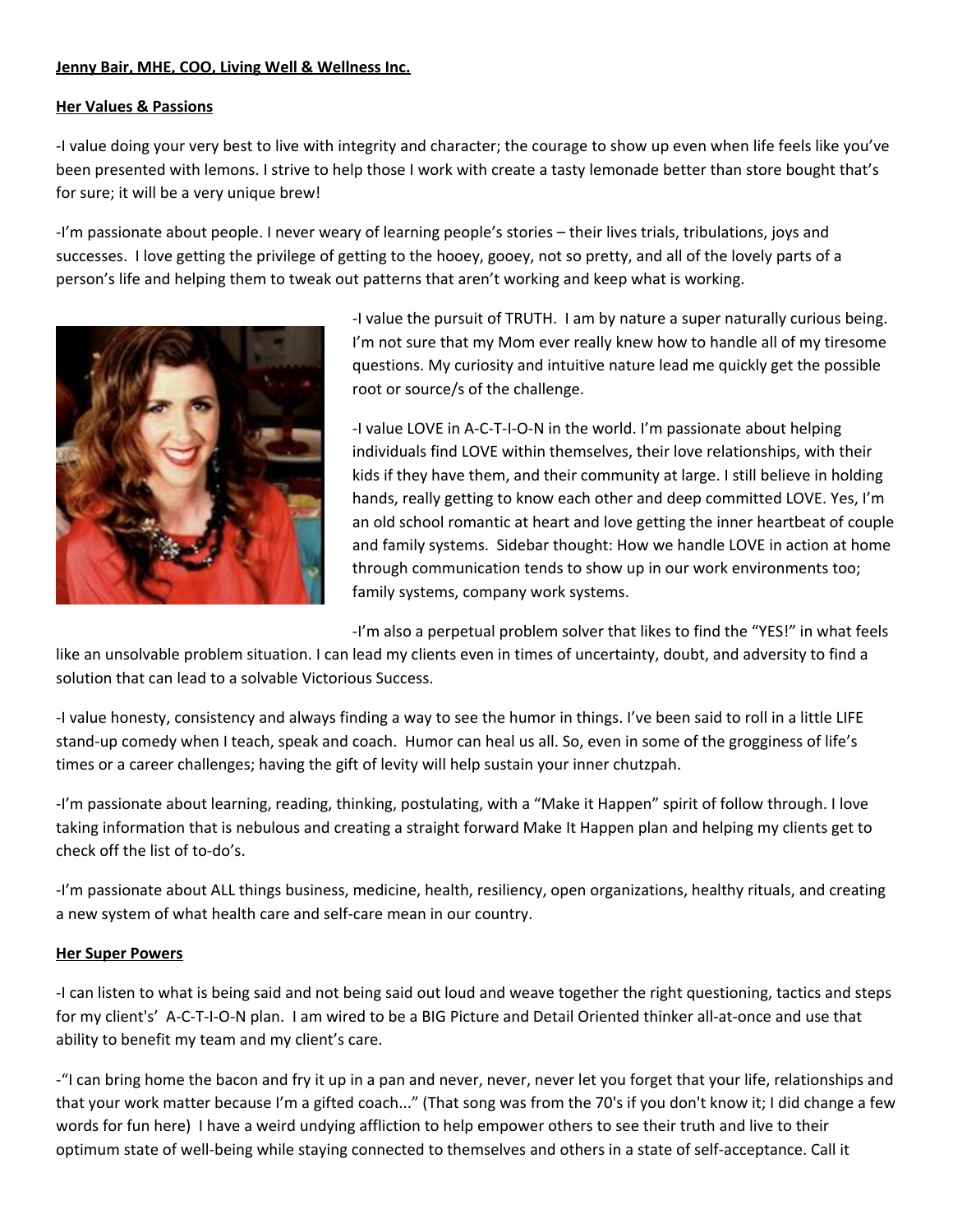### **Jenny Bair, MHE, COO, Living Well & Wellness Inc.**

### **Her Values & Passions**

-I value doing your very best to live with integrity and character; the courage to show up even when life feels like you've been presented with lemons. I strive to help those I work with create a tasty lemonade better than store bought that's for sure; it will be a very unique brew!

-I'm passionate about people. I never weary of learning people's stories – their lives trials, tribulations, joys and successes. I love getting the privilege of getting to the hooey, gooey, not so pretty, and all of the lovely parts of a person's life and helping them to tweak out patterns that aren't working and keep what is working.



-I value the pursuit of TRUTH. I am by nature a super naturally curious being. I'm not sure that my Mom ever really knew how to handle all of my tiresome questions. My curiosity and intuitive nature lead me quickly get the possible root or source/s of the challenge.

-I value LOVE in A-C-T-I-O-N in the world. I'm passionate about helping individuals find LOVE within themselves, their love relationships, with their kids if they have them, and their community at large. I still believe in holding hands, really getting to know each other and deep committed LOVE. Yes, I'm an old school romantic at heart and love getting the inner heartbeat of couple and family systems. Sidebar thought: How we handle LOVE in action at home through communication tends to show up in our work environments too; family systems, company work systems.

-I'm also a perpetual problem solver that likes to find the "YES!" in what feels

like an unsolvable problem situation. I can lead my clients even in times of uncertainty, doubt, and adversity to find a solution that can lead to a solvable Victorious Success.

-I value honesty, consistency and always finding a way to see the humor in things. I've been said to roll in a little LIFE stand-up comedy when I teach, speak and coach. Humor can heal us all. So, even in some of the grogginess of life's times or a career challenges; having the gift of levity will help sustain your inner chutzpah.

-I'm passionate about learning, reading, thinking, postulating, with a "Make it Happen" spirit of follow through. I love taking information that is nebulous and creating a straight forward Make It Happen plan and helping my clients get to check off the list of to-do's.

-I'm passionate about ALL things business, medicine, health, resiliency, open organizations, healthy rituals, and creating a new system of what health care and self-care mean in our country.

# **Her Super Powers**

-I can listen to what is being said and not being said out loud and weave together the right questioning, tactics and steps for my client's' A-C-T-I-O-N plan. I am wired to be a BIG Picture and Detail Oriented thinker all-at-once and use that ability to benefit my team and my client's care.

-"I can bring home the bacon and fry it up in a pan and never, never, never let you forget that your life, relationships and that your work matter because I'm a gifted coach..." (That song was from the 70's if you don't know it; I did change a few words for fun here) I have a weird undying affliction to help empower others to see their truth and live to their optimum state of well-being while staying connected to themselves and others in a state of self-acceptance. Call it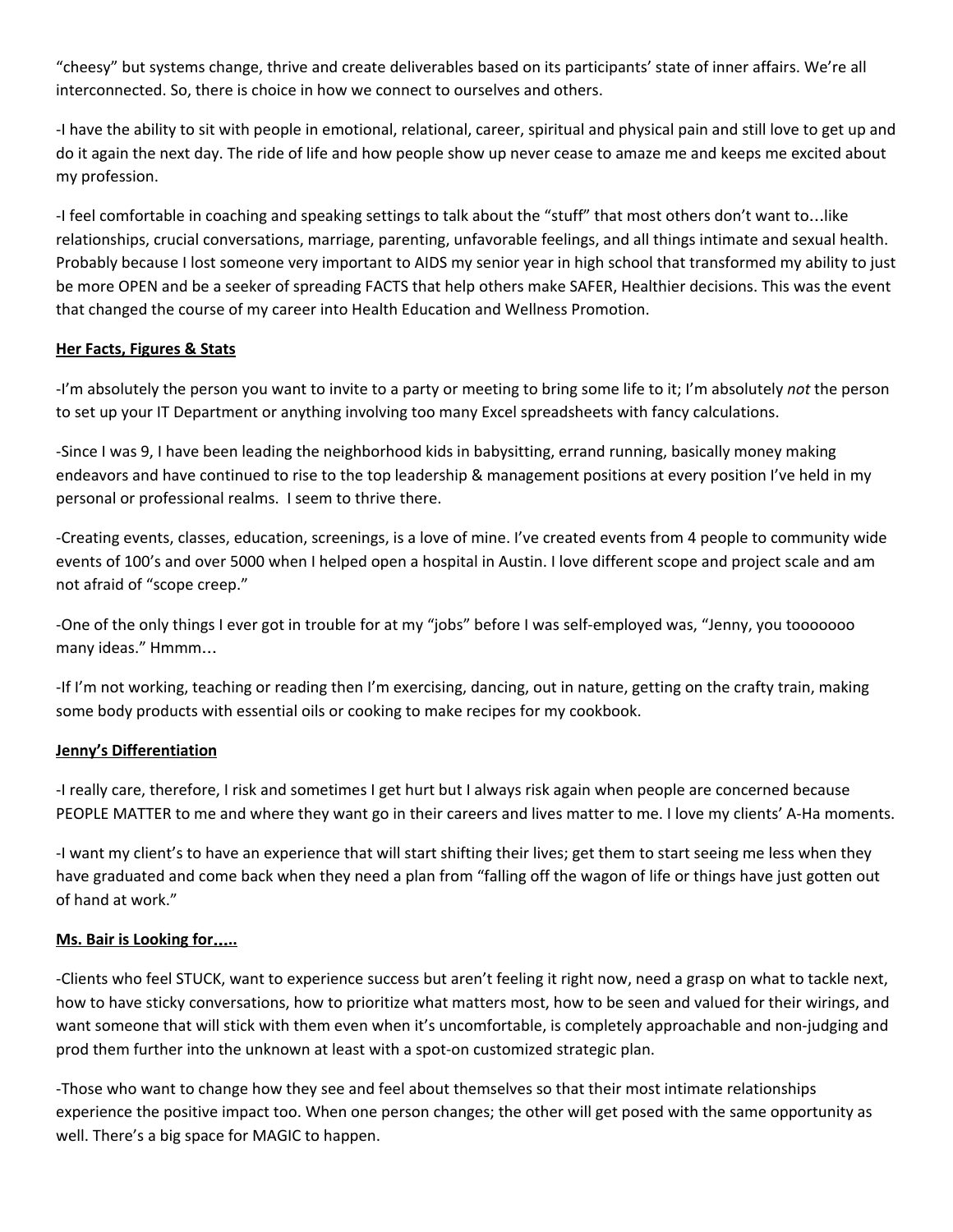"cheesy" but systems change, thrive and create deliverables based on its participants' state of inner affairs. We're all interconnected. So, there is choice in how we connect to ourselves and others.

-I have the ability to sit with people in emotional, relational, career, spiritual and physical pain and still love to get up and do it again the next day. The ride of life and how people show up never cease to amaze me and keeps me excited about my profession.

-I feel comfortable in coaching and speaking settings to talk about the "stuff" that most others don't want to…like relationships, crucial conversations, marriage, parenting, unfavorable feelings, and all things intimate and sexual health. Probably because I lost someone very important to AIDS my senior year in high school that transformed my ability to just be more OPEN and be a seeker of spreading FACTS that help others make SAFER, Healthier decisions. This was the event that changed the course of my career into Health Education and Wellness Promotion.

# **Her Facts, Figures & Stats**

-I'm absolutely the person you want to invite to a party or meeting to bring some life to it; I'm absolutely *not* the person to set up your IT Department or anything involving too many Excel spreadsheets with fancy calculations.

-Since I was 9, I have been leading the neighborhood kids in babysitting, errand running, basically money making endeavors and have continued to rise to the top leadership & management positions at every position I've held in my personal or professional realms. I seem to thrive there.

-Creating events, classes, education, screenings, is a love of mine. I've created events from 4 people to community wide events of 100's and over 5000 when I helped open a hospital in Austin. I love different scope and project scale and am not afraid of "scope creep."

-One of the only things I ever got in trouble for at my "jobs" before I was self-employed was, "Jenny, you tooooooo many ideas." Hmmm…

-If I'm not working, teaching or reading then I'm exercising, dancing, out in nature, getting on the crafty train, making some body products with essential oils or cooking to make recipes for my cookbook.

# **Jenny's Differentiation**

-I really care, therefore, I risk and sometimes I get hurt but I always risk again when people are concerned because PEOPLE MATTER to me and where they want go in their careers and lives matter to me. I love my clients' A-Ha moments.

-I want my client's to have an experience that will start shifting their lives; get them to start seeing me less when they have graduated and come back when they need a plan from "falling off the wagon of life or things have just gotten out of hand at work."

# **Ms. Bair is Looking for**…**..**

-Clients who feel STUCK, want to experience success but aren't feeling it right now, need a grasp on what to tackle next, how to have sticky conversations, how to prioritize what matters most, how to be seen and valued for their wirings, and want someone that will stick with them even when it's uncomfortable, is completely approachable and non-judging and prod them further into the unknown at least with a spot-on customized strategic plan.

-Those who want to change how they see and feel about themselves so that their most intimate relationships experience the positive impact too. When one person changes; the other will get posed with the same opportunity as well. There's a big space for MAGIC to happen.